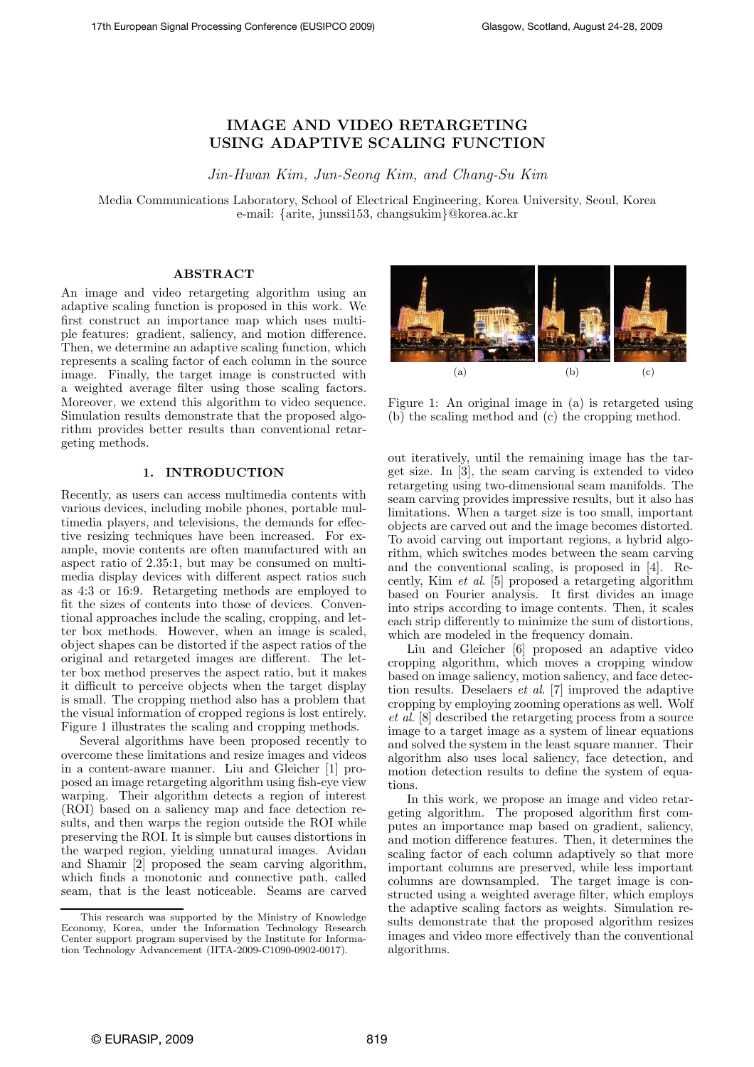# IMAGE AND VIDEO RETARGETING USING ADAPTIVE SCALING FUNCTION

Jin-Hwan Kim, Jun-Seong Kim, and Chang-Su Kim

Media Communications Laboratory, School of Electrical Engineering, Korea University, Seoul, Korea e-mail: {arite, junssi153, changsukim}@korea.ac.kr

# ABSTRACT

An image and video retargeting algorithm using an adaptive scaling function is proposed in this work. We first construct an importance map which uses multiple features: gradient, saliency, and motion difference. Then, we determine an adaptive scaling function, which represents a scaling factor of each column in the source image. Finally, the target image is constructed with a weighted average filter using those scaling factors. Moreover, we extend this algorithm to video sequence. Simulation results demonstrate that the proposed algorithm provides better results than conventional retargeting methods.

#### 1. INTRODUCTION

Recently, as users can access multimedia contents with various devices, including mobile phones, portable multimedia players, and televisions, the demands for effective resizing techniques have been increased. For example, movie contents are often manufactured with an aspect ratio of 2.35:1, but may be consumed on multimedia display devices with different aspect ratios such as 4:3 or 16:9. Retargeting methods are employed to fit the sizes of contents into those of devices. Conventional approaches include the scaling, cropping, and letter box methods. However, when an image is scaled, object shapes can be distorted if the aspect ratios of the original and retargeted images are different. The letter box method preserves the aspect ratio, but it makes it difficult to perceive objects when the target display is small. The cropping method also has a problem that the visual information of cropped regions is lost entirely. Figure 1 illustrates the scaling and cropping methods.

Several algorithms have been proposed recently to overcome these limitations and resize images and videos in a content-aware manner. Liu and Gleicher [1] proposed an image retargeting algorithm using fish-eye view warping. Their algorithm detects a region of interest (ROI) based on a saliency map and face detection results, and then warps the region outside the ROI while preserving the ROI. It is simple but causes distortions in the warped region, yielding unnatural images. Avidan and Shamir [2] proposed the seam carving algorithm, which finds a monotonic and connective path, called seam, that is the least noticeable. Seams are carved



Figure 1: An original image in (a) is retargeted using (b) the scaling method and (c) the cropping method.

out iteratively, until the remaining image has the target size. In [3], the seam carving is extended to video retargeting using two-dimensional seam manifolds. The seam carving provides impressive results, but it also has limitations. When a target size is too small, important objects are carved out and the image becomes distorted. To avoid carving out important regions, a hybrid algorithm, which switches modes between the seam carving and the conventional scaling, is proposed in [4]. Recently, Kim  $\it{et}$   $\it{al.}$  [5] proposed a retargeting algorithm based on Fourier analysis. It first divides an image into strips according to image contents. Then, it scales each strip differently to minimize the sum of distortions, which are modeled in the frequency domain.

Liu and Gleicher [6] proposed an adaptive video cropping algorithm, which moves a cropping window based on image saliency, motion saliency, and face detection results. Deselaers et al. [7] improved the adaptive cropping by employing zooming operations as well. Wolf et al. [8] described the retargeting process from a source image to a target image as a system of linear equations and solved the system in the least square manner. Their algorithm also uses local saliency, face detection, and motion detection results to define the system of equations.

In this work, we propose an image and video retargeting algorithm. The proposed algorithm first computes an importance map based on gradient, saliency, and motion difference features. Then, it determines the scaling factor of each column adaptively so that more important columns are preserved, while less important columns are downsampled. The target image is constructed using a weighted average filter, which employs the adaptive scaling factors as weights. Simulation results demonstrate that the proposed algorithm resizes images and video more effectively than the conventional algorithms.

This research was supported by the Ministry of Knowledge Economy, Korea, under the Information Technology Research Center support program supervised by the Institute for Information Technology Advancement (IITA-2009-C1090-0902-0017).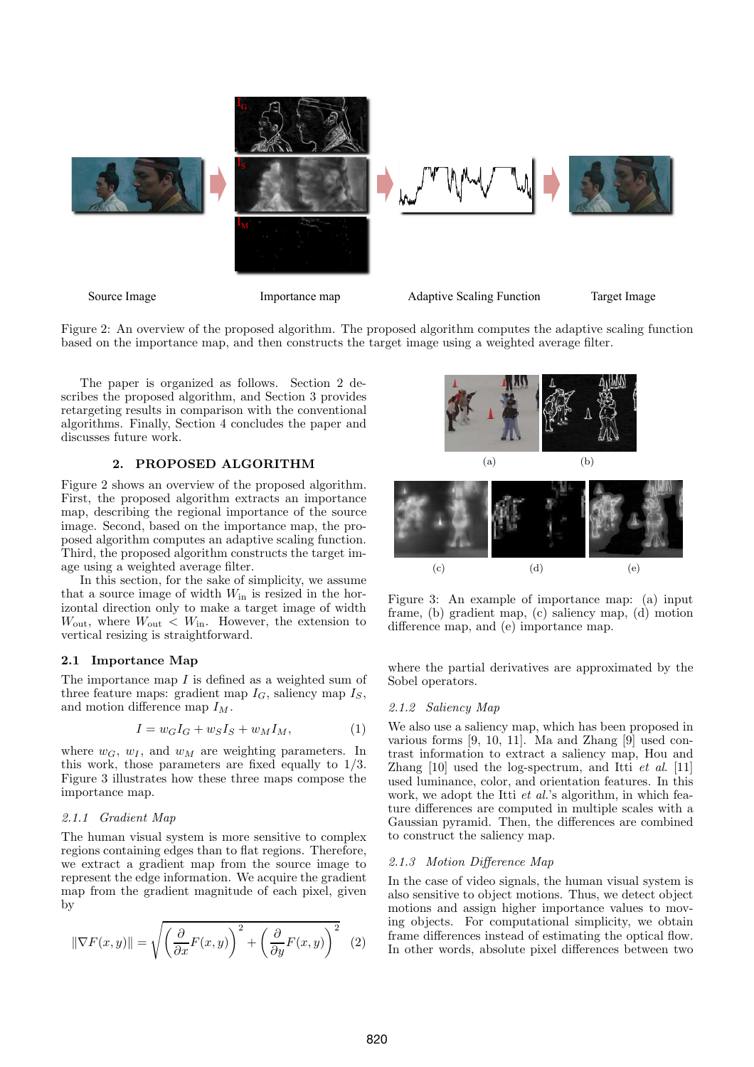

Figure 2: An overview of the proposed algorithm. The proposed algorithm computes the adaptive scaling function based on the importance map, and then constructs the target image using a weighted average filter.

The paper is organized as follows. Section 2 describes the proposed algorithm, and Section 3 provides retargeting results in comparison with the conventional algorithms. Finally, Section 4 concludes the paper and discusses future work.

# 2. PROPOSED ALGORITHM

Figure 2 shows an overview of the proposed algorithm. First, the proposed algorithm extracts an importance map, describing the regional importance of the source image. Second, based on the importance map, the proposed algorithm computes an adaptive scaling function. Third, the proposed algorithm constructs the target image using a weighted average filter.

In this section, for the sake of simplicity, we assume that a source image of width  $W_{\text{in}}$  is resized in the horizontal direction only to make a target image of width  $W_{\text{out}}$ , where  $W_{\text{out}} < W_{\text{in}}$ . However, the extension to vertical resizing is straightforward.

### 2.1 Importance Map

The importance map  $I$  is defined as a weighted sum of three feature maps: gradient map  $I_G$ , saliency map  $I_S$ , and motion difference map  $I_M$ .

$$
I = w_G I_G + w_S I_S + w_M I_M, \tag{1}
$$

where  $w_G$ ,  $w_I$ , and  $w_M$  are weighting parameters. In this work, those parameters are fixed equally to 1/3. Figure 3 illustrates how these three maps compose the importance map.

### 2.1.1 Gradient Map

The human visual system is more sensitive to complex regions containing edges than to flat regions. Therefore, we extract a gradient map from the source image to represent the edge information. We acquire the gradient map from the gradient magnitude of each pixel, given by

$$
\|\nabla F(x,y)\| = \sqrt{\left(\frac{\partial}{\partial x}F(x,y)\right)^2 + \left(\frac{\partial}{\partial y}F(x,y)\right)^2} \tag{2}
$$



Figure 3: An example of importance map: (a) input frame, (b) gradient map, (c) saliency map, (d) motion difference map, and (e) importance map.

where the partial derivatives are approximated by the Sobel operators.

#### 2.1.2 Saliency Map

We also use a saliency map, which has been proposed in various forms [9, 10, 11]. Ma and Zhang [9] used contrast information to extract a saliency map, Hou and Zhang [10] used the log-spectrum, and Itti et al. [11] used luminance, color, and orientation features. In this work, we adopt the Itti *et al.*'s algorithm, in which feature differences are computed in multiple scales with a Gaussian pyramid. Then, the differences are combined to construct the saliency map.

### 2.1.3 Motion Difference Map

In the case of video signals, the human visual system is also sensitive to object motions. Thus, we detect object motions and assign higher importance values to moving objects. For computational simplicity, we obtain frame differences instead of estimating the optical flow. In other words, absolute pixel differences between two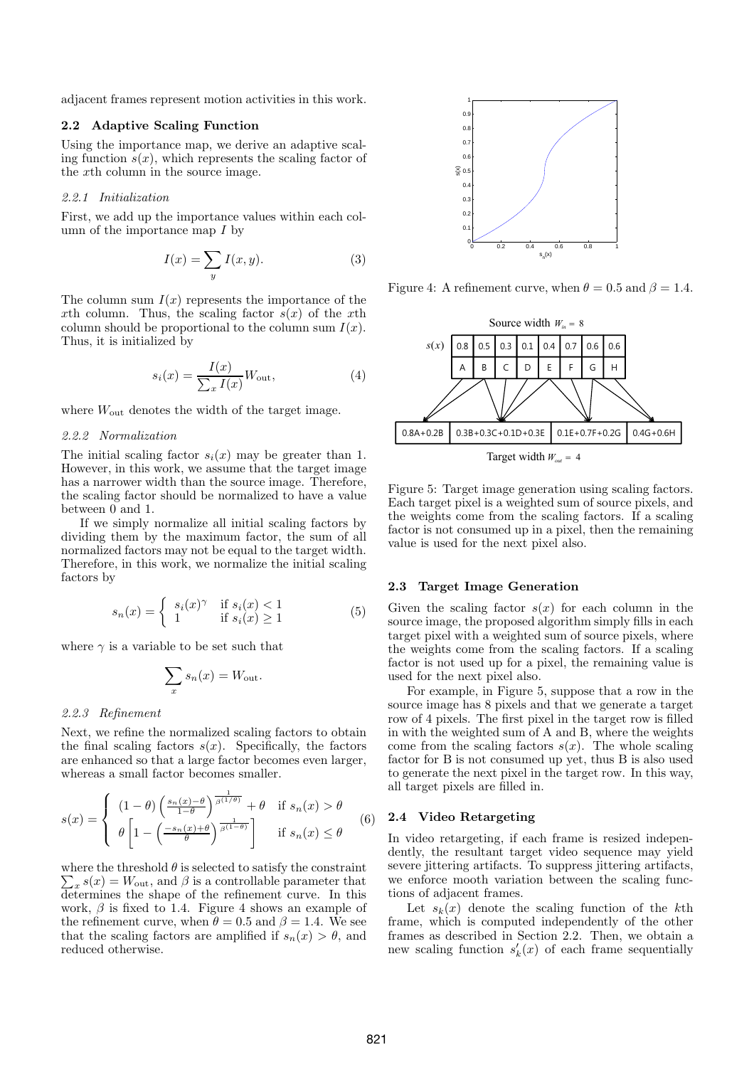adjacent frames represent motion activities in this work.

### 2.2 Adaptive Scaling Function

Using the importance map, we derive an adaptive scaling function  $s(x)$ , which represents the scaling factor of the xth column in the source image.

#### 2.2.1 Initialization

First, we add up the importance values within each column of the importance map  $I$  by

$$
I(x) = \sum_{y} I(x, y). \tag{3}
$$

The column sum  $I(x)$  represents the importance of the xth column. Thus, the scaling factor  $s(x)$  of the xth column should be proportional to the column sum  $I(x)$ . Thus, it is initialized by

$$
s_i(x) = \frac{I(x)}{\sum_x I(x)} W_{\text{out}},
$$
\n(4)

where  $W_{\text{out}}$  denotes the width of the target image.

# 2.2.2 Normalization

The initial scaling factor  $s_i(x)$  may be greater than 1. However, in this work, we assume that the target image has a narrower width than the source image. Therefore, the scaling factor should be normalized to have a value between 0 and 1.

If we simply normalize all initial scaling factors by dividing them by the maximum factor, the sum of all normalized factors may not be equal to the target width. Therefore, in this work, we normalize the initial scaling factors by

$$
s_n(x) = \begin{cases} s_i(x)^\gamma & \text{if } s_i(x) < 1\\ 1 & \text{if } s_i(x) \ge 1 \end{cases}
$$
 (5)

where  $\gamma$  is a variable to be set such that

$$
\sum_{x} s_n(x) = W_{\text{out}}.
$$

#### 2.2.3 Refinement

Next, we refine the normalized scaling factors to obtain the final scaling factors  $s(x)$ . Specifically, the factors are enhanced so that a large factor becomes even larger, whereas a small factor becomes smaller.

$$
s(x) = \begin{cases} (1 - \theta) \left( \frac{s_n(x) - \theta}{1 - \theta} \right)^{\frac{1}{\beta(1/\theta)}} + \theta & \text{if } s_n(x) > \theta \\ \theta \left[ 1 - \left( \frac{-s_n(x) + \theta}{\theta} \right)^{\frac{1}{\beta(1 - \theta)}} \right] & \text{if } s_n(x) \le \theta \end{cases}
$$
(6)

where the threshold  $\theta$  is selected to satisfy the constraint  $\sum_{x} s(x) = W_{\text{out}}$ , and  $\beta$  is a controllable parameter that determines the shape of the refinement curve. In this work,  $\beta$  is fixed to 1.4. Figure 4 shows an example of the refinement curve, when  $\theta = 0.5$  and  $\beta = 1.4$ . We see that the scaling factors are amplified if  $s_n(x) > \theta$ , and reduced otherwise.



Figure 4: A refinement curve, when  $\theta = 0.5$  and  $\beta = 1.4$ .



Figure 5: Target image generation using scaling factors. Each target pixel is a weighted sum of source pixels, and the weights come from the scaling factors. If a scaling factor is not consumed up in a pixel, then the remaining value is used for the next pixel also.

#### 2.3 Target Image Generation

Given the scaling factor  $s(x)$  for each column in the source image, the proposed algorithm simply fills in each target pixel with a weighted sum of source pixels, where the weights come from the scaling factors. If a scaling factor is not used up for a pixel, the remaining value is used for the next pixel also.

For example, in Figure 5, suppose that a row in the source image has 8 pixels and that we generate a target row of 4 pixels. The first pixel in the target row is filled in with the weighted sum of A and B, where the weights come from the scaling factors  $s(x)$ . The whole scaling factor for B is not consumed up yet, thus B is also used to generate the next pixel in the target row. In this way, all target pixels are filled in.

### 2.4 Video Retargeting

In video retargeting, if each frame is resized independently, the resultant target video sequence may yield severe jittering artifacts. To suppress jittering artifacts, we enforce mooth variation between the scaling functions of adjacent frames.

Let  $s_k(x)$  denote the scaling function of the kth frame, which is computed independently of the other frames as described in Section 2.2. Then, we obtain a new scaling function  $s'_{l}$  $k(x)$  of each frame sequentially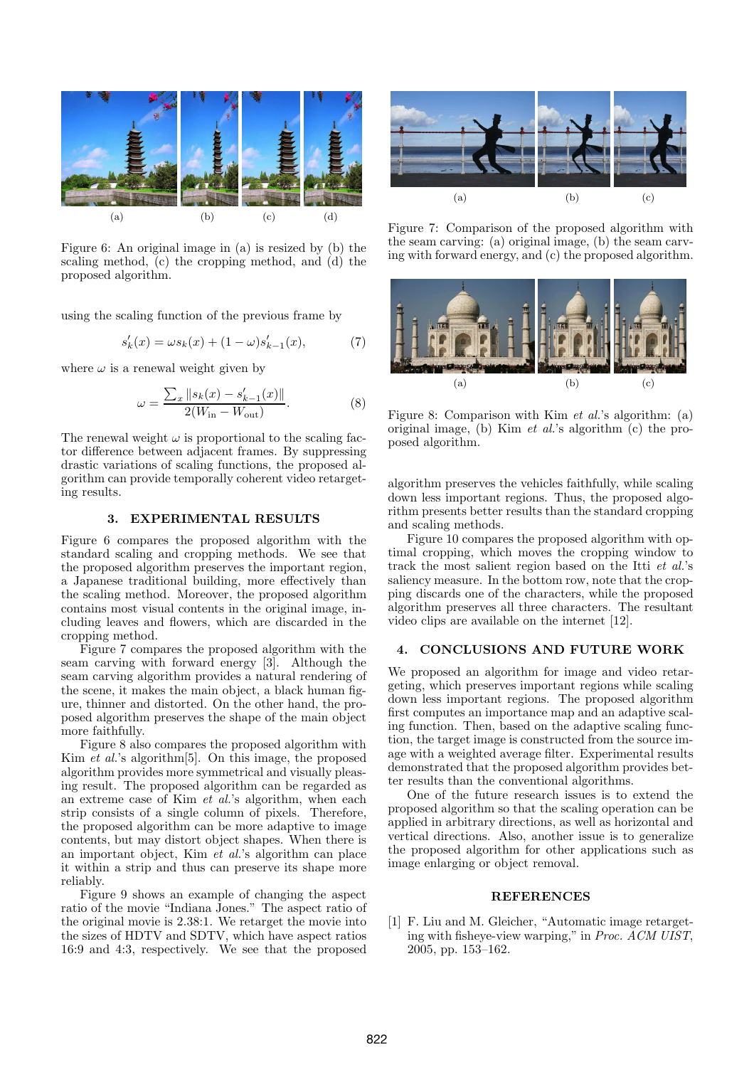

Figure 6: An original image in (a) is resized by (b) the scaling method, (c) the cropping method, and (d) the proposed algorithm.

using the scaling function of the previous frame by

$$
s'_k(x)=\omega s_k(x)+(1-\omega)s'_{k-1}(x), \qquad \qquad (7)
$$

where  $\omega$  is a renewal weight given by

$$
\omega = \frac{\sum_{x} ||s_k(x) - s'_{k-1}(x)||}{2(W_{\text{in}} - W_{\text{out}})}.
$$
 (8)

The renewal weight  $\omega$  is proportional to the scaling factor difference between adjacent frames. By suppressing drastic variations of scaling functions, the proposed algorithm can provide temporally coherent video retargeting results.

# 3. EXPERIMENTAL RESULTS

Figure 6 compares the proposed algorithm with the standard scaling and cropping methods. We see that the proposed algorithm preserves the important region, a Japanese traditional building, more effectively than the scaling method. Moreover, the proposed algorithm contains most visual contents in the original image, including leaves and flowers, which are discarded in the cropping method.

Figure 7 compares the proposed algorithm with the seam carving with forward energy [3]. Although the seam carving algorithm provides a natural rendering of the scene, it makes the main object, a black human figure, thinner and distorted. On the other hand, the proposed algorithm preserves the shape of the main object more faithfully.

Figure 8 also compares the proposed algorithm with Kim *et al.*'s algorithm<sup>[5]</sup>. On this image, the proposed algorithm provides more symmetrical and visually pleasing result. The proposed algorithm can be regarded as an extreme case of Kim et al.'s algorithm, when each strip consists of a single column of pixels. Therefore, the proposed algorithm can be more adaptive to image contents, but may distort object shapes. When there is an important object, Kim et al.'s algorithm can place it within a strip and thus can preserve its shape more reliably.

Figure 9 shows an example of changing the aspect ratio of the movie "Indiana Jones." The aspect ratio of the original movie is 2.38:1. We retarget the movie into the sizes of HDTV and SDTV, which have aspect ratios 16:9 and 4:3, respectively. We see that the proposed



Figure 7: Comparison of the proposed algorithm with the seam carving: (a) original image, (b) the seam carving with forward energy, and (c) the proposed algorithm.



Figure 8: Comparison with Kim et al.'s algorithm: (a) original image, (b) Kim et al.'s algorithm (c) the proposed algorithm.

algorithm preserves the vehicles faithfully, while scaling down less important regions. Thus, the proposed algorithm presents better results than the standard cropping and scaling methods.

Figure 10 compares the proposed algorithm with optimal cropping, which moves the cropping window to track the most salient region based on the Itti et al.'s saliency measure. In the bottom row, note that the cropping discards one of the characters, while the proposed algorithm preserves all three characters. The resultant video clips are available on the internet [12].

# 4. CONCLUSIONS AND FUTURE WORK

We proposed an algorithm for image and video retargeting, which preserves important regions while scaling down less important regions. The proposed algorithm first computes an importance map and an adaptive scaling function. Then, based on the adaptive scaling function, the target image is constructed from the source image with a weighted average filter. Experimental results demonstrated that the proposed algorithm provides better results than the conventional algorithms.

One of the future research issues is to extend the proposed algorithm so that the scaling operation can be applied in arbitrary directions, as well as horizontal and vertical directions. Also, another issue is to generalize the proposed algorithm for other applications such as image enlarging or object removal.

#### **REFERENCES**

[1] F. Liu and M. Gleicher, "Automatic image retargeting with fisheye-view warping," in Proc. ACM UIST, 2005, pp. 153–162.